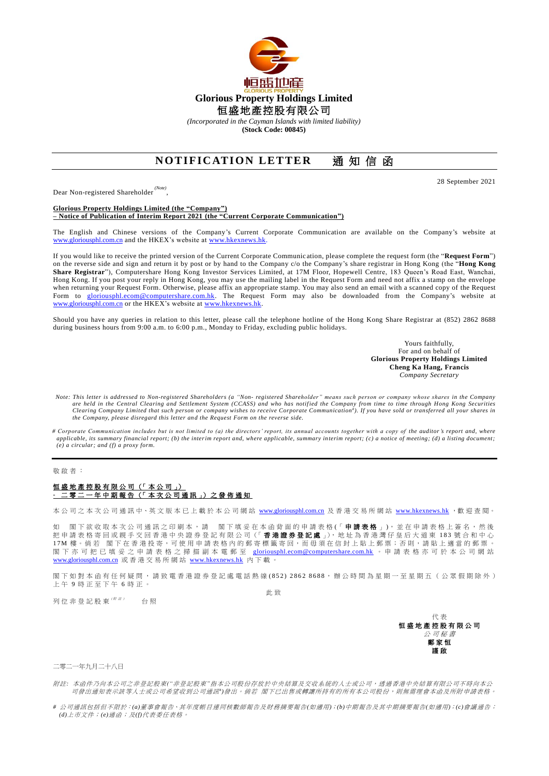

*(Incorporated in the Cayman Islands with limited liability)*

**(Stock Code: 00845)**

## **NOTIFICATION LETTER** 通知信函

Dear Non-registered Shareholder *(Note)* ,

**Glorious Property Holdings Limited (the "Company") – Notice of Publication of Interim Report 2021 (the "Current Corporate Communication")**

The English and Chinese versions of the Company's Current Corporate Communication are available on the Company's website at [www.gloriousphl.com.cn](http://www.gloriousphl.com.cn/) and the HKEX's website a[t www.hkexnews.hk.](http://www.hkexnews.hk/)

If you would like to receive the printed version of the Current Corporate Communic ation, please complete the request form (the "**Request Form**") on the reverse side and sign and return it by post or by hand to the Company c/o the Company's share registrar in Hong Kong (the "**Hong Kong Share Registrar**"), Computershare Hong Kong Investor Services Limited, at 17M Floor, Hopewell Centre, 183 Queen's Road East, Wanchai, Hong Kong. If you post your reply in Hong Kong, you may use the mailing label in the Request Form and need not affix a stamp on the envelope when returning your Request Form. Otherwise, please affix an appropriate stamp. You may also send an email with a scanned copy of the Request Form to [gloriousphl.ecom@computershare.com.hk.](mailto:gloriousphl.ecom@computershare.com.hk) The Request Form may also be downloaded from the Company's website at [www.gloriousphl.com.cn](http://www.gloriousphl.com.cn/) or the HKEX's website at [www.hkexnews.hk.](http://www.hkexnews.hk/)

Should you have any queries in relation to this letter, please call the telephone hotline of the Hong Kong Share Registrar at (852) 2862 8688 during business hours from 9:00 a.m. to 6:00 p.m., Monday to Friday, excluding public holidays.

> Yours faithfully, For and on behalf of **Glorious Property Holdings Limited Cheng Ka Hang, Francis** *Company Secretary*

28 September 2021

- *Note: This letter is addressed to Non-registered Shareholders (a "Non- registered Shareholder" means such person or company whose shares in the Company are held in the Central Clearing and Settlement System (CCASS) and who has notif ied the Company from time to time through Hong Kong Securities*  Clearing Company Limited that such person or company wishes to receive Corporate Communication<sup>#</sup>). If you have sold or transferred all your shares in *the Company, please disregard this letter and the Request Form on the reverse side.*
- *# Corporate Communication includes but is not limited to (a) the directors' report, its annual accounts together with a copy of the auditor's report and, where applicable, its summary financial report; (b) the interim report and, where applicable, summary interim report; (c) a notice of meeting; (d) a listing document; (e) a circular; and (f) a proxy form.*

敬啟者 :

## 恒盛地產控股有限公司 (「 本 公 司 」) **-** 二零二一年中期報告 (「 本 次 公 司 通 訊 」) 之 發 佈 通 知

本 公 司 之 本 次 公 司 通 訊 中、英 文 版 本 已 上 載 於 本 公 司 網 站 [www.gloriousphl.com.cn](http://www.gloriousphl.com.cn/) 及 香 港 交 易 所 網 站 [www.hkexnews.hk](http://www.hkexnews.hk/) ,歡 迎 查 閱 。

如 閣下欲收取本次公司通訊之印刷本,請 閣下填妥在本函背面的申請表格(「申請**表格**」),並在申請表格上簽名,然後 把 申 請 表 格 寄 回 或 親 手 交 回 香 港 中 央 證 券 登 記 有 限 公 司 (「 **香 港 證 券 登 記 處** 」), 地 址 為 香 港 灣 仔 皇 后 大 道 東 183 號 合 和 中 心 17M 樓。倘若 閣下在香港投寄,可使用申請表格內的郵寄標籤寄回,而毋須在信封上貼上郵票;否則,請貼上適當的郵票。 閣下 亦 可 把 已 填 妥 之 申 請 表 格 之 掃 描 副 本 電 郵 至 [gloriousphl.ecom@computershare.com.hk](mailto:gloriousphl.ecom@computershare.com.hk) 。 申 請 表 格 亦 可 於 本 公 司 網 站 [www.gloriousphl.com.cn](http://www.gloriousphl.com.cn/) 或香港交易所網站 [www.hkexnews.hk](http://www.hkexnews.hk/) 內 下 載 。

閣下如對本函有任何疑問,請致電香港證券登記處電話熱線(852) 2862 8688,辦公時間為星期一至星期五(公眾假期除外) 上 午 9 時正至下午 6 時正。

列位非登記股東( <sup>/ # 2</sup>) 台照

此 致



二零二一年九月二十八日

附註*:* 本函件乃向本公司之非登記股東*("*非登記股東*"*指本公司股份存放於中央結算及交收系統的人士或公司,透過香港中央結算有限公司不時向本公 司發出通知表示該等人士或公司希望收到公司通訊")發出。 倘若 閣下已出售或轉讓所持有的所有本公司股份,則無需理會本函及所附申請表格。

*#* 公司通訊包括但不限於:*(a)*董事會報告、其年度帳目連同核數師報告及財務摘要報告*(*如適用*)*;*(b)*中期報告及其中期摘要報告*(*如適用*)*;*(c)*會議通告; *(d)*上市文件;*(e)*通函;及*(f)*代表委任表格。